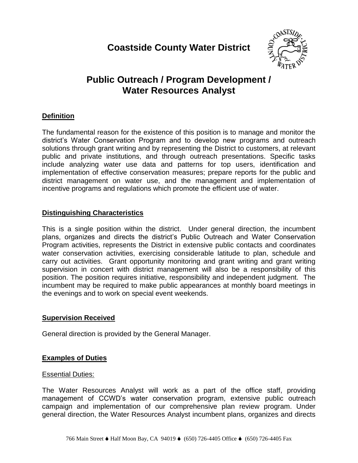# **Coastside County Water District**



# **Public Outreach / Program Development / Water Resources Analyst**

# **Definition**

The fundamental reason for the existence of this position is to manage and monitor the district's Water Conservation Program and to develop new programs and outreach solutions through grant writing and by representing the District to customers, at relevant public and private institutions, and through outreach presentations. Specific tasks include analyzing water use data and patterns for top users, identification and implementation of effective conservation measures; prepare reports for the public and district management on water use, and the management and implementation of incentive programs and regulations which promote the efficient use of water.

## **Distinguishing Characteristics**

This is a single position within the district. Under general direction, the incumbent plans, organizes and directs the district's Public Outreach and Water Conservation Program activities, represents the District in extensive public contacts and coordinates water conservation activities, exercising considerable latitude to plan, schedule and carry out activities. Grant opportunity monitoring and grant writing and grant writing supervision in concert with district management will also be a responsibility of this position. The position requires initiative, responsibility and independent judgment. The incumbent may be required to make public appearances at monthly board meetings in the evenings and to work on special event weekends.

# **Supervision Received**

General direction is provided by the General Manager.

# **Examples of Duties**

### Essential Duties:

The Water Resources Analyst will work as a part of the office staff, providing management of CCWD's water conservation program, extensive public outreach campaign and implementation of our comprehensive plan review program. Under general direction, the Water Resources Analyst incumbent plans, organizes and directs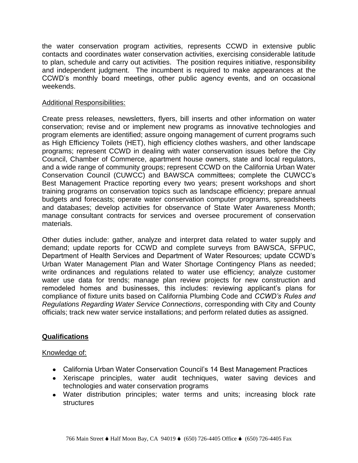the water conservation program activities, represents CCWD in extensive public contacts and coordinates water conservation activities, exercising considerable latitude to plan, schedule and carry out activities. The position requires initiative, responsibility and independent judgment. The incumbent is required to make appearances at the CCWD's monthly board meetings, other public agency events, and on occasional weekends.

#### Additional Responsibilities:

Create press releases, newsletters, flyers, bill inserts and other information on water conservation; revise and or implement new programs as innovative technologies and program elements are identified; assure ongoing management of current programs such as High Efficiency Toilets (HET), high efficiency clothes washers, and other landscape programs; represent CCWD in dealing with water conservation issues before the City Council, Chamber of Commerce, apartment house owners, state and local regulators, and a wide range of community groups; represent CCWD on the California Urban Water Conservation Council (CUWCC) and BAWSCA committees; complete the CUWCC's Best Management Practice reporting every two years; present workshops and short training programs on conservation topics such as landscape efficiency; prepare annual budgets and forecasts; operate water conservation computer programs, spreadsheets and databases; develop activities for observance of State Water Awareness Month; manage consultant contracts for services and oversee procurement of conservation materials.

Other duties include: gather, analyze and interpret data related to water supply and demand; update reports for CCWD and complete surveys from BAWSCA, SFPUC, Department of Health Services and Department of Water Resources; update CCWD's Urban Water Management Plan and Water Shortage Contingency Plans as needed; write ordinances and regulations related to water use efficiency; analyze customer water use data for trends; manage plan review projects for new construction and remodeled homes and businesses, this includes: reviewing applicant's plans for compliance of fixture units based on California Plumbing Code and *CCWD's Rules and Regulations Regarding Water Service Connections*, corresponding with City and County officials; track new water service installations; and perform related duties as assigned.

### **Qualifications**

#### Knowledge of:

- California Urban Water Conservation Council's 14 Best Management Practices
- Xeriscape principles, water audit techniques, water saving devices and technologies and water conservation programs
- Water distribution principles; water terms and units; increasing block rate structures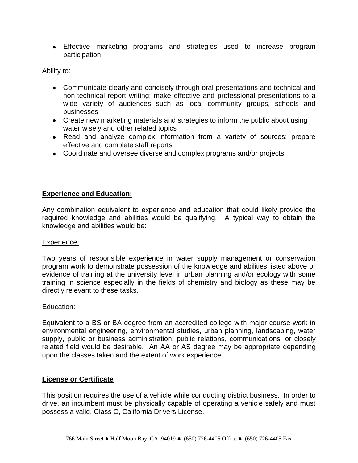Effective marketing programs and strategies used to increase program participation

#### Ability to:

- Communicate clearly and concisely through oral presentations and technical and non-technical report writing; make effective and professional presentations to a wide variety of audiences such as local community groups, schools and businesses
- Create new marketing materials and strategies to inform the public about using water wisely and other related topics
- Read and analyze complex information from a variety of sources; prepare effective and complete staff reports
- Coordinate and oversee diverse and complex programs and/or projects

### **Experience and Education:**

Any combination equivalent to experience and education that could likely provide the required knowledge and abilities would be qualifying. A typical way to obtain the knowledge and abilities would be:

#### Experience:

Two years of responsible experience in water supply management or conservation program work to demonstrate possession of the knowledge and abilities listed above or evidence of training at the university level in urban planning and/or ecology with some training in science especially in the fields of chemistry and biology as these may be directly relevant to these tasks.

#### Education:

Equivalent to a BS or BA degree from an accredited college with major course work in environmental engineering, environmental studies, urban planning, landscaping, water supply, public or business administration, public relations, communications, or closely related field would be desirable. An AA or AS degree may be appropriate depending upon the classes taken and the extent of work experience.

### **License or Certificate**

This position requires the use of a vehicle while conducting district business. In order to drive, an incumbent must be physically capable of operating a vehicle safely and must possess a valid, Class C, California Drivers License.